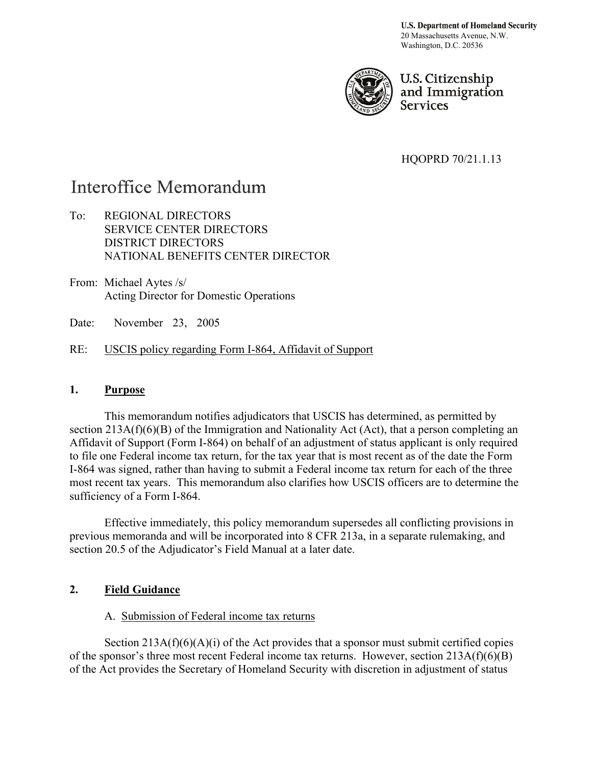**U.S. Department of Homeland Security** 20 Massachusetts Avenue, N.W. Washington, D.C. 20536



U.S. Citizenship and Immigration **Services** 

HQOPRD 70/21.1.13

# Interoffice Memorandum

- To: REGIONAL DIRECTORS SERVICE CENTER DIRECTORS DISTRICT DIRECTORS NATIONAL BENEFITS CENTER DIRECTOR
- From: Michael Aytes /s/ Acting Director for Domestic Operations
- Date: November 23, 2005
- RE: USCIS policy regarding Form I-864, Affidavit of Support

### **1. Purpose**

 This memorandum notifies adjudicators that USCIS has determined, as permitted by section 213A(f)(6)(B) of the Immigration and Nationality Act (Act), that a person completing an Affidavit of Support (Form I-864) on behalf of an adjustment of status applicant is only required to file one Federal income tax return, for the tax year that is most recent as of the date the Form I-864 was signed, rather than having to submit a Federal income tax return for each of the three most recent tax years. This memorandum also clarifies how USCIS officers are to determine the sufficiency of a Form I-864.

Effective immediately, this policy memorandum supersedes all conflicting provisions in previous memoranda and will be incorporated into 8 CFR 213a, in a separate rulemaking, and section 20.5 of the Adjudicator's Field Manual at a later date.

## **2. Field Guidance**

## A. Submission of Federal income tax returns

Section  $213A(f)(6)(A)(i)$  of the Act provides that a sponsor must submit certified copies of the sponsor's three most recent Federal income tax returns. However, section 213A(f)(6)(B) of the Act provides the Secretary of Homeland Security with discretion in adjustment of status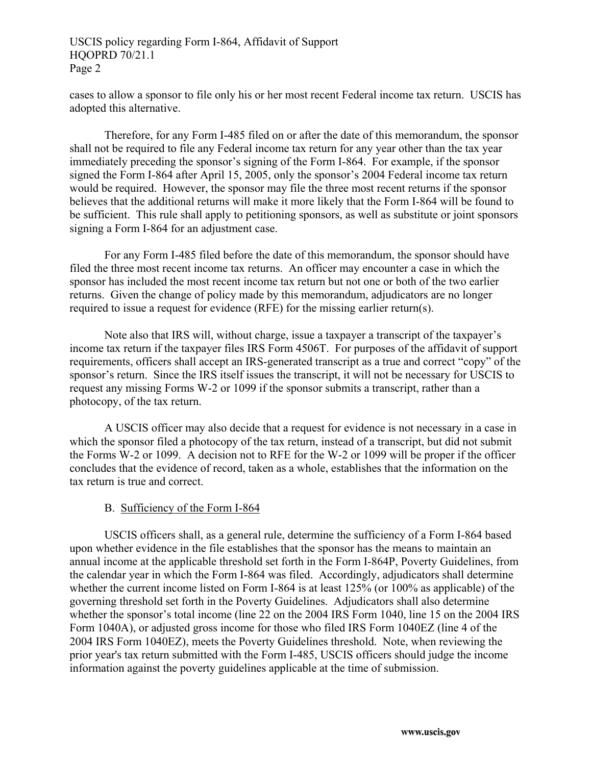### USCIS policy regarding Form I-864, Affidavit of Support HQOPRD 70/21.1 Page 2

cases to allow a sponsor to file only his or her most recent Federal income tax return. USCIS has adopted this alternative.

Therefore, for any Form I-485 filed on or after the date of this memorandum, the sponsor shall not be required to file any Federal income tax return for any year other than the tax year immediately preceding the sponsor's signing of the Form I-864. For example, if the sponsor signed the Form I-864 after April 15, 2005, only the sponsor's 2004 Federal income tax return would be required. However, the sponsor may file the three most recent returns if the sponsor believes that the additional returns will make it more likely that the Form I-864 will be found to be sufficient. This rule shall apply to petitioning sponsors, as well as substitute or joint sponsors signing a Form I-864 for an adjustment case.

For any Form I-485 filed before the date of this memorandum, the sponsor should have filed the three most recent income tax returns. An officer may encounter a case in which the sponsor has included the most recent income tax return but not one or both of the two earlier returns. Given the change of policy made by this memorandum, adjudicators are no longer required to issue a request for evidence (RFE) for the missing earlier return(s).

Note also that IRS will, without charge, issue a taxpayer a transcript of the taxpayer's income tax return if the taxpayer files IRS Form 4506T. For purposes of the affidavit of support requirements, officers shall accept an IRS-generated transcript as a true and correct "copy" of the sponsor's return. Since the IRS itself issues the transcript, it will not be necessary for USCIS to request any missing Forms W-2 or 1099 if the sponsor submits a transcript, rather than a photocopy, of the tax return.

A USCIS officer may also decide that a request for evidence is not necessary in a case in which the sponsor filed a photocopy of the tax return, instead of a transcript, but did not submit the Forms W-2 or 1099. A decision not to RFE for the W-2 or 1099 will be proper if the officer concludes that the evidence of record, taken as a whole, establishes that the information on the tax return is true and correct.

#### B. Sufficiency of the Form I-864

USCIS officers shall, as a general rule, determine the sufficiency of a Form I-864 based upon whether evidence in the file establishes that the sponsor has the means to maintain an annual income at the applicable threshold set forth in the Form I-864P, Poverty Guidelines, from the calendar year in which the Form I-864 was filed. Accordingly, adjudicators shall determine whether the current income listed on Form I-864 is at least 125% (or 100% as applicable) of the governing threshold set forth in the Poverty Guidelines. Adjudicators shall also determine whether the sponsor's total income (line 22 on the 2004 IRS Form 1040, line 15 on the 2004 IRS Form 1040A), or adjusted gross income for those who filed IRS Form 1040EZ (line 4 of the 2004 IRS Form 1040EZ), meets the Poverty Guidelines threshold. Note, when reviewing the prior year's tax return submitted with the Form I-485, USCIS officers should judge the income information against the poverty guidelines applicable at the time of submission.